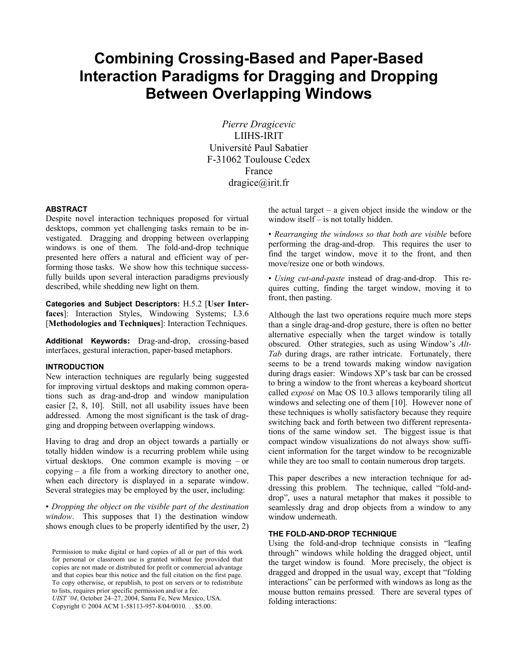# **Combining Crossing-Based and Paper-Based Interaction Paradigms for Dragging and Dropping Between Overlapping Windows**

*Pierre Dragicevic*  LIIHS-IRIT Université Paul Sabatier F-31062 Toulouse Cedex France dragice@irit.fr

#### **ABSTRACT**

Despite novel interaction techniques proposed for virtual desktops, common yet challenging tasks remain to be investigated. Dragging and dropping between overlapping windows is one of them. The fold-and-drop technique presented here offers a natural and efficient way of performing those tasks. We show how this technique successfully builds upon several interaction paradigms previously described, while shedding new light on them.

**Categories and Subject Descriptors:** H.5.2 [**User Interfaces**]: Interaction Styles, Windowing Systems; I.3.6 [**Methodologies and Techniques**]: Interaction Techniques.

**Additional Keywords:** Drag-and-drop, crossing-based interfaces, gestural interaction, paper-based metaphors.

### **INTRODUCTION**

New interaction techniques are regularly being suggested for improving virtual desktops and making common operations such as drag-and-drop and window manipulation easier [2, 8, 10]. Still, not all usability issues have been addressed. Among the most significant is the task of dragging and dropping between overlapping windows.

Having to drag and drop an object towards a partially or totally hidden window is a recurring problem while using virtual desktops. One common example is moving – or copying – a file from a working directory to another one, when each directory is displayed in a separate window. Several strategies may be employed by the user, including:

• *Dropping the object on the visible part of the destination window*. This supposes that 1) the destination window shows enough clues to be properly identified by the user, 2)

to iists, requires prior specific permission and/or a fee.<br>*UIST '04*, October 24–27, 2004, Santa Fe, New Mexico, USA. Copyright © 2004 ACM 1-58113-957-8/04/0010. . . \$5.00.

the actual target – a given object inside the window or the window itself – is not totally hidden.

• *Rearranging the windows so that both are visible* before performing the drag-and-drop. This requires the user to find the target window, move it to the front, and then move/resize one or both windows.

• *Using cut-and-paste* instead of drag-and-drop. This requires cutting, finding the target window, moving it to front, then pasting.

Although the last two operations require much more steps than a single drag-and-drop gesture, there is often no better alternative especially when the target window is totally obscured. Other strategies, such as using Window's *Alt-Tab* during drags, are rather intricate. Fortunately, there seems to be a trend towards making window navigation during drags easier: Windows XP's task bar can be crossed to bring a window to the front whereas a keyboard shortcut called *exposé* on Mac OS 10.3 allows temporarily tiling all windows and selecting one of them [ 10]. However none of these techniques is wholly satisfactory because they require switching back and forth between two different representations of the same window set. The biggest issue is that compact window visualizations do not always show sufficient information for the target window to be recognizable while they are too small to contain numerous drop targets.

This paper describes a new interaction technique for addressing this problem. The technique, called "fold-anddrop", uses a natural metaphor that makes it possible to seamlessly drag and drop objects from a window to any window underneath.

#### **THE FOLD-AND-DROP TECHNIQUE**

Using the fold-and-drop technique consists in "leafing through" windows while holding the dragged object, until the target window is found. More precisely, the object is dragged and dropped in the usual way, except that "folding interactions" can be performed with windows as long as the mouse button remains pressed. There are several types of folding interactions:

Permission to make digital or hard copies of all or part of this work for personal or classroom use is granted without fee provided that copies are not made or distributed for profit or commercial advantage and that copies bear this notice and the full citation on the first page. To copy otherwise, or republish, to post on servers or to redistribute to lists, requires prior specific permission and/or a fee.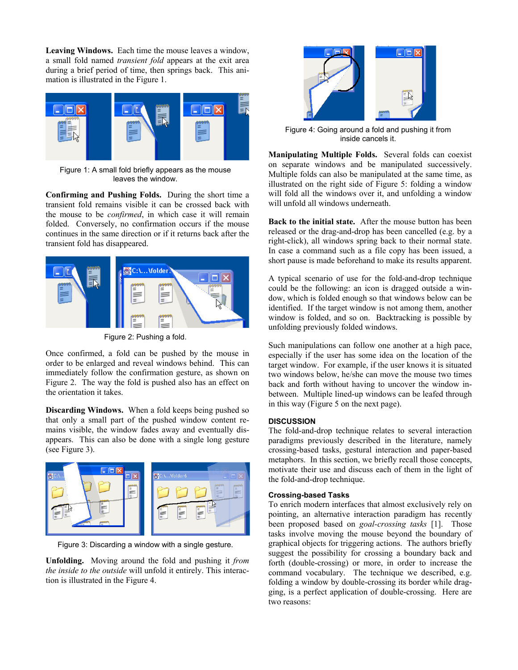**Leaving Windows.** Each time the mouse leaves a window, a small fold named *transient fold* appears at the exit area during a brief period of time, then springs back. This animation is illustrated in the Figure 1.



Figure 1: A small fold briefly appears as the mouse leaves the window.

**Confirming and Pushing Folds.** During the short time a transient fold remains visible it can be crossed back with the mouse to be *confirmed*, in which case it will remain folded. Conversely, no confirmation occurs if the mouse continues in the same direction or if it returns back after the transient fold has disappeared.



Figure 2: Pushing a fold.

Once confirmed, a fold can be pushed by the mouse in order to be enlarged and reveal windows behind. This can immediately follow the confirmation gesture, as shown on Figure 2. The way the fold is pushed also has an effect on the orientation it takes.

**Discarding Windows.** When a fold keeps being pushed so that only a small part of the pushed window content remains visible, the window fades away and eventually disappears. This can also be done with a single long gesture (see Figure 3).



Figure 3: Discarding a window with a single gesture.

**Unfolding.** Moving around the fold and pushing it *from the inside to the outside* will unfold it entirely. This interaction is illustrated in the Figure 4.



Figure 4: Going around a fold and pushing it from inside cancels it.

**Manipulating Multiple Folds.** Several folds can coexist on separate windows and be manipulated successively. Multiple folds can also be manipulated at the same time, as illustrated on the right side of Figure 5: folding a window will fold all the windows over it, and unfolding a window will unfold all windows underneath.

**Back to the initial state.** After the mouse button has been released or the drag-and-drop has been cancelled (e.g. by a right-click), all windows spring back to their normal state. In case a command such as a file copy has been issued, a short pause is made beforehand to make its results apparent.

A typical scenario of use for the fold-and-drop technique could be the following: an icon is dragged outside a window, which is folded enough so that windows below can be identified. If the target window is not among them, another window is folded, and so on. Backtracking is possible by unfolding previously folded windows.

Such manipulations can follow one another at a high pace, especially if the user has some idea on the location of the target window. For example, if the user knows it is situated two windows below, he/she can move the mouse two times back and forth without having to uncover the window inbetween. Multiple lined-up windows can be leafed through in this way (Figure 5 on the next page).

# **DISCUSSION**

The fold-and-drop technique relates to several interaction paradigms previously described in the literature, namely crossing-based tasks, gestural interaction and paper-based metaphors. In this section, we briefly recall those concepts, motivate their use and discuss each of them in the light of the fold-and-drop technique.

#### **Crossing-based Tasks**

To enrich modern interfaces that almost exclusively rely on pointing, an alternative interaction paradigm has recently been proposed based on *goal-crossing tasks* [ 1]. Those tasks involve moving the mouse beyond the boundary of graphical objects for triggering actions. The authors briefly suggest the possibility for crossing a boundary back and forth (double-crossing) or more, in order to increase the command vocabulary. The technique we described, e.g. folding a window by double-crossing its border while dragging, is a perfect application of double-crossing. Here are two reasons: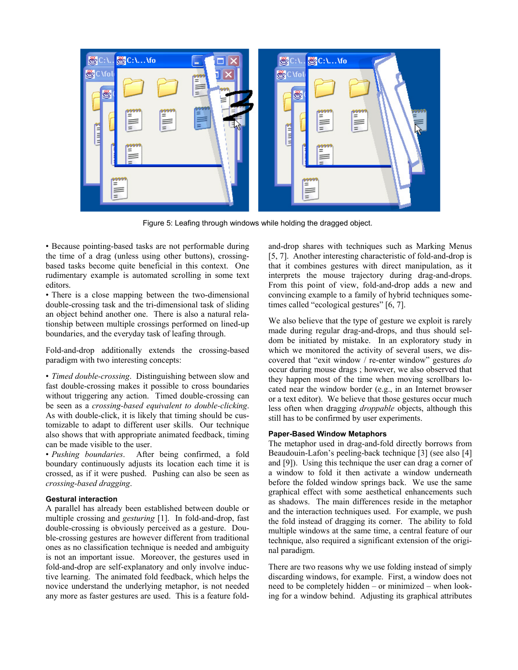

Figure 5: Leafing through windows while holding the dragged object.

• Because pointing-based tasks are not performable during the time of a drag (unless using other buttons), crossingbased tasks become quite beneficial in this context. One rudimentary example is automated scrolling in some text editors.

• There is a close mapping between the two-dimensional double-crossing task and the tri-dimensional task of sliding an object behind another one. There is also a natural relationship between multiple crossings performed on lined-up boundaries, and the everyday task of leafing through.

Fold-and-drop additionally extends the crossing-based paradigm with two interesting concepts:

• *Timed double-crossing*. Distinguishing between slow and fast double-crossing makes it possible to cross boundaries without triggering any action. Timed double-crossing can be seen as a *crossing-based equivalent to double-clicking*. As with double-click, it is likely that timing should be customizable to adapt to different user skills. Our technique also shows that with appropriate animated feedback, timing can be made visible to the user.

• *Pushing boundaries*. After being confirmed, a fold boundary continuously adjusts its location each time it is crossed, as if it were pushed. Pushing can also be seen as *crossing-based dragging*.

#### **Gestural interaction**

A parallel has already been established between double or multiple crossing and *gesturing* [ 1]. In fold-and-drop, fast double-crossing is obviously perceived as a gesture. Double-crossing gestures are however different from traditional ones as no classification technique is needed and ambiguity is not an important issue. Moreover, the gestures used in fold-and-drop are self-explanatory and only involve inductive learning. The animated fold feedback, which helps the novice understand the underlying metaphor, is not needed any more as faster gestures are used. This is a feature foldand-drop shares with techniques such as Marking Menus [5, 7]. Another interesting characteristic of fold-and-drop is that it combines gestures with direct manipulation, as it interprets the mouse trajectory during drag-and-drops. From this point of view, fold-and-drop adds a new and convincing example to a family of hybrid techniques sometimes called "ecological gestures" [6, 7].

We also believe that the type of gesture we exploit is rarely made during regular drag-and-drops, and thus should seldom be initiated by mistake. In an exploratory study in which we monitored the activity of several users, we discovered that "exit window / re-enter window" gestures *do* occur during mouse drags ; however, we also observed that they happen most of the time when moving scrollbars located near the window border (e.g., in an Internet browser or a text editor). We believe that those gestures occur much less often when dragging *droppable* objects, although this still has to be confirmed by user experiments.

# **Paper-Based Window Metaphors**

The metaphor used in drag-and-fold directly borrows from Beaudouin-Lafon's peeling-back technique [3] (see also [4] and [9]). Using this technique the user can drag a corner of a window to fold it then activate a window underneath before the folded window springs back. We use the same graphical effect with some aesthetical enhancements such as shadows. The main differences reside in the metaphor and the interaction techniques used. For example, we push the fold instead of dragging its corner. The ability to fold multiple windows at the same time, a central feature of our technique, also required a significant extension of the original paradigm.

There are two reasons why we use folding instead of simply discarding windows, for example. First, a window does not need to be completely hidden – or minimized – when looking for a window behind. Adjusting its graphical attributes